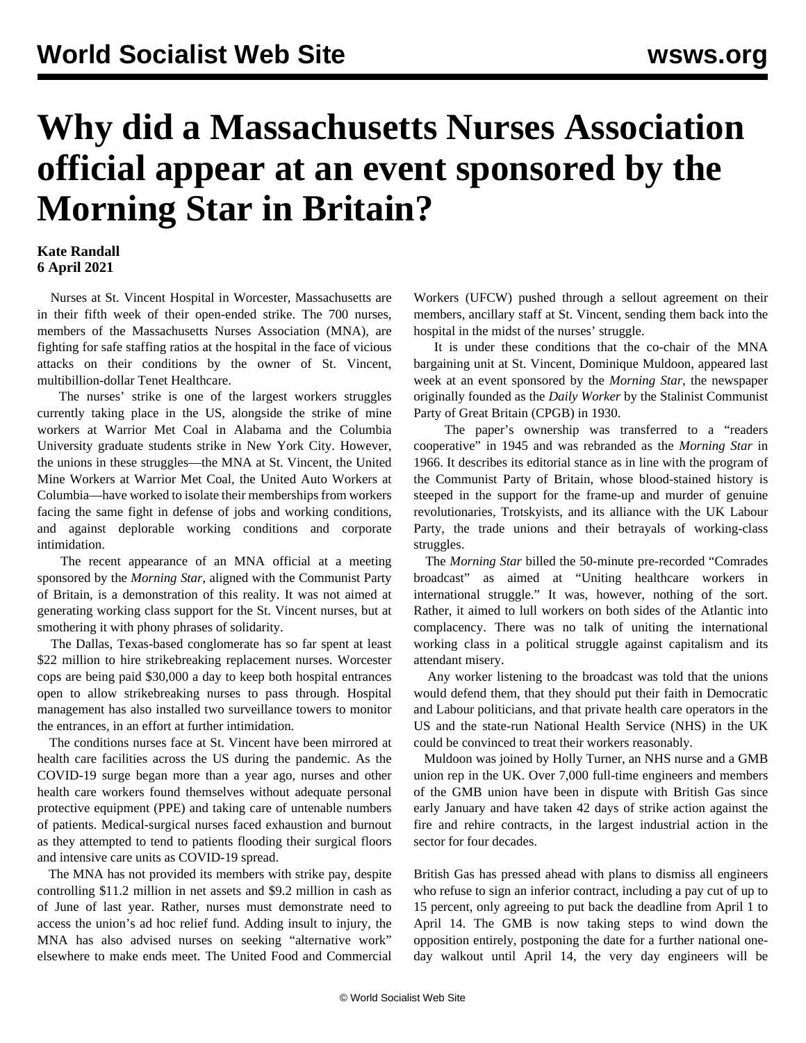## **Why did a Massachusetts Nurses Association official appear at an event sponsored by the Morning Star in Britain?**

## **Kate Randall 6 April 2021**

 Nurses at St. Vincent Hospital in Worcester, Massachusetts are in their fifth week of their open-ended strike. The 700 nurses, members of the Massachusetts Nurses Association (MNA), are fighting for safe staffing ratios at the hospital in the face of vicious attacks on their conditions by the owner of St. Vincent, multibillion-dollar Tenet Healthcare.

 The nurses' strike is one of the largest workers struggles currently taking place in the US, alongside the strike of mine workers at Warrior Met Coal in Alabama and the Columbia University graduate students strike in New York City. However, the unions in these struggles—the MNA at St. Vincent, the United Mine Workers at Warrior Met Coal, the United Auto Workers at Columbia—have worked to isolate their memberships from workers facing the same fight in defense of jobs and working conditions, and against deplorable working conditions and corporate intimidation.

 The recent appearance of an MNA official at a meeting sponsored by the *Morning Star*, aligned with the Communist Party of Britain, is a demonstration of this reality. It was not aimed at generating working class support for the St. Vincent nurses, but at smothering it with phony phrases of solidarity.

 The Dallas, Texas-based conglomerate has so far spent at least \$22 million to hire strikebreaking replacement nurses. Worcester cops are being paid \$30,000 a day to keep both hospital entrances open to allow strikebreaking nurses to pass through. Hospital management has also installed two surveillance towers to monitor the entrances, in an effort at further intimidation.

 The conditions nurses face at St. Vincent have been mirrored at health care facilities across the US during the pandemic. As the COVID-19 surge began more than a year ago, nurses and other health care workers found themselves without adequate personal protective equipment (PPE) and taking care of untenable numbers of patients. Medical-surgical nurses faced exhaustion and burnout as they attempted to tend to patients flooding their surgical floors and intensive care units as COVID-19 spread.

 The MNA has not provided its members with strike pay, despite controlling \$11.2 million in net assets and \$9.2 million in cash as of June of last year. Rather, nurses must demonstrate need to access the union's ad hoc relief fund. Adding insult to injury, the MNA has also advised nurses on seeking "alternative work" elsewhere to make ends meet. The United Food and Commercial Workers (UFCW) pushed through a sellout agreement on their members, ancillary staff at St. Vincent, sending them back into the hospital in the midst of the nurses' struggle.

 It is under these conditions that the co-chair of the MNA bargaining unit at St. Vincent, Dominique Muldoon, appeared last week at an event sponsored by the *Morning Star*, the newspaper originally founded as the *Daily Worker* by the Stalinist Communist Party of Great Britain (CPGB) in 1930.

 The paper's ownership was transferred to a "readers cooperative" in 1945 and was rebranded as the *Morning Star* in 1966. It describes its editorial stance as in line with the program of the Communist Party of Britain, whose blood-stained history is steeped in the support for the frame-up and murder of genuine revolutionaries, Trotskyists, and its alliance with the UK Labour Party, the trade unions and their betrayals of working-class struggles.

 The *Morning Star* billed the 50-minute pre-recorded "Comrades broadcast" as aimed at "Uniting healthcare workers in international struggle." It was, however, nothing of the sort. Rather, it aimed to lull workers on both sides of the Atlantic into complacency. There was no talk of uniting the international working class in a political struggle against capitalism and its attendant misery.

 Any worker listening to the broadcast was told that the unions would defend them, that they should put their faith in Democratic and Labour politicians, and that private health care operators in the US and the state-run National Health Service (NHS) in the UK could be convinced to treat their workers reasonably.

 Muldoon was joined by Holly Turner, an NHS nurse and a GMB union rep in the UK. Over 7,000 full-time engineers and members of the GMB union have been in dispute with British Gas since early January and have taken 42 days of strike action against the fire and rehire contracts, in the largest industrial action in the sector for four decades.

British Gas has pressed ahead with plans to dismiss all engineers who refuse to sign an inferior contract, including a pay cut of up to 15 percent, only agreeing to put back the deadline from April 1 to April 14. The GMB is now taking steps to [wind down](/en/articles/2021/04/07/bgas-j01.html) the opposition entirely, postponing the date for a further national oneday walkout until April 14, the very day engineers will be